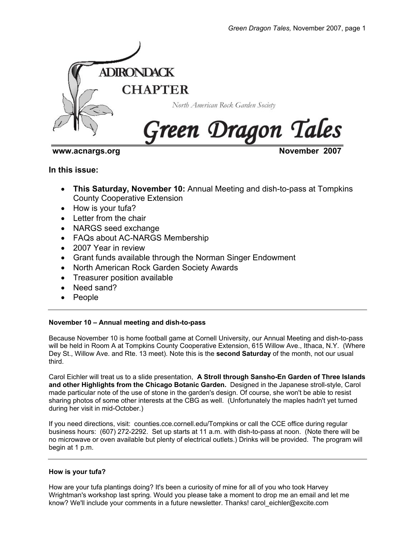

**www.acnargs.org November 2007** 

**In this issue:** 

- **This Saturday, November 10:** Annual Meeting and dish-to-pass at Tompkins County Cooperative Extension
- How is your tufa?
- Letter from the chair
- NARGS seed exchange
- FAQs about AC-NARGS Membership
- 2007 Year in review
- Grant funds available through the Norman Singer Endowment
- North American Rock Garden Society Awards
- Treasurer position available
- Need sand?
- People

# **November 10 – Annual meeting and dish-to-pass**

Because November 10 is home football game at Cornell University, our Annual Meeting and dish-to-pass will be held in Room A at Tompkins County Cooperative Extension, 615 Willow Ave., Ithaca, N.Y. (Where Dey St., Willow Ave. and Rte. 13 meet). Note this is the **second Saturday** of the month, not our usual third.

Carol Eichler will treat us to a slide presentation, **A Stroll through Sansho-En Garden of Three Islands and other Highlights from the Chicago Botanic Garden.** Designed in the Japanese stroll-style, Carol made particular note of the use of stone in the garden's design. Of course, she won't be able to resist sharing photos of some other interests at the CBG as well. (Unfortunately the maples hadn't yet turned during her visit in mid-October.)

If you need directions, visit: counties.cce.cornell.edu/Tompkins or call the CCE office during regular business hours: (607) 272-2292. Set up starts at 11 a.m. with dish-to-pass at noon. (Note there will be no microwave or oven available but plenty of electrical outlets.) Drinks will be provided. The program will begin at 1 p.m.

# **How is your tufa?**

How are your tufa plantings doing? It's been a curiosity of mine for all of you who took Harvey Wrightman's workshop last spring. Would you please take a moment to drop me an email and let me know? We'll include your comments in a future newsletter. Thanks! carol\_eichler@excite.com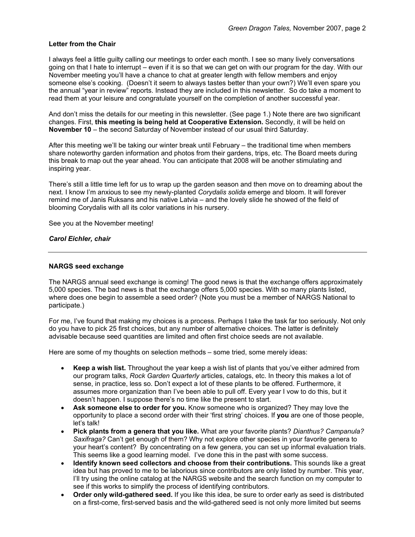### **Letter from the Chair**

I always feel a little guilty calling our meetings to order each month. I see so many lively conversations going on that I hate to interrupt – even if it is so that we can get on with our program for the day. With our November meeting you'll have a chance to chat at greater length with fellow members and enjoy someone else's cooking. (Doesn't it seem to always tastes better than your own?) We'll even spare you the annual "year in review" reports. Instead they are included in this newsletter. So do take a moment to read them at your leisure and congratulate yourself on the completion of another successful year.

And don't miss the details for our meeting in this newsletter. (See page 1.) Note there are two significant changes. First, **this meeting is being held at Cooperative Extension.** Secondly, it will be held on **November 10** – the second Saturday of November instead of our usual third Saturday.

After this meeting we'll be taking our winter break until February – the traditional time when members share noteworthy garden information and photos from their gardens, trips, etc. The Board meets during this break to map out the year ahead. You can anticipate that 2008 will be another stimulating and inspiring year.

There's still a little time left for us to wrap up the garden season and then move on to dreaming about the next. I know I'm anxious to see my newly-planted *Corydalis solida* emerge and bloom. It will forever remind me of Janis Ruksans and his native Latvia – and the lovely slide he showed of the field of blooming Corydalis with all its color variations in his nursery.

See you at the November meeting!

### *Carol Eichler, chair*

#### **NARGS seed exchange**

The NARGS annual seed exchange is coming! The good news is that the exchange offers approximately 5,000 species. The bad news is that the exchange offers 5,000 species. With so many plants listed, where does one begin to assemble a seed order? (Note you must be a member of NARGS National to participate.)

For me, I've found that making my choices is a process. Perhaps I take the task far too seriously. Not only do you have to pick 25 first choices, but any number of alternative choices. The latter is definitely advisable because seed quantities are limited and often first choice seeds are not available.

Here are some of my thoughts on selection methods – some tried, some merely ideas:

- **Keep a wish list.** Throughout the year keep a wish list of plants that you've either admired from our program talks, *Rock Garden Quarterly* articles, catalogs, etc. In theory this makes a lot of sense, in practice, less so. Don't expect a lot of these plants to be offered. Furthermore, it assumes more organization than I've been able to pull off. Every year I vow to do this, but it doesn't happen. I suppose there's no time like the present to start.
- **Ask someone else to order for you.** Know someone who is organized? They may love the opportunity to place a second order with their 'first string' choices. If **you** are one of those people, let's talk!
- **Pick plants from a genera that you like.** What are your favorite plants? *Dianthus? Campanula? Saxifraga?* Can't get enough of them? Why not explore other species in your favorite genera to your heart's content? By concentrating on a few genera, you can set up informal evaluation trials. This seems like a good learning model. I've done this in the past with some success.
- **Identify known seed collectors and choose from their contributions.** This sounds like a great idea but has proved to me to be laborious since contributors are only listed by number. This year, I'll try using the online catalog at the NARGS website and the search function on my computer to see if this works to simplify the process of identifying contributors.
- **Order only wild-gathered seed.** If you like this idea, be sure to order early as seed is distributed on a first-come, first-served basis and the wild-gathered seed is not only more limited but seems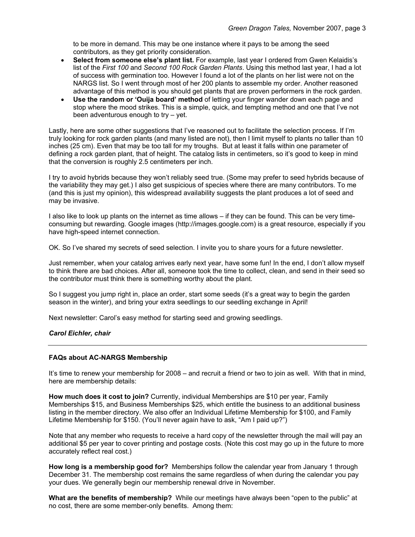to be more in demand. This may be one instance where it pays to be among the seed contributors, as they get priority consideration.

- **Select from someone else's plant list.** For example, last year I ordered from Gwen Kelaidis's list of the *First 100* and *Second 100 Rock Garden Plants*. Using this method last year, I had a lot of success with germination too. However I found a lot of the plants on her list were not on the NARGS list. So I went through most of her 200 plants to assemble my order. Another reasoned advantage of this method is you should get plants that are proven performers in the rock garden.
- **Use the random or 'Ouija board' method** of letting your finger wander down each page and stop where the mood strikes. This is a simple, quick, and tempting method and one that I've not been adventurous enough to try – yet.

Lastly, here are some other suggestions that I've reasoned out to facilitate the selection process. If I'm truly looking for rock garden plants (and many listed are not), then I limit myself to plants no taller than 10 inches (25 cm). Even that may be too tall for my troughs. But at least it falls within one parameter of defining a rock garden plant, that of height. The catalog lists in centimeters, so it's good to keep in mind that the conversion is roughly 2.5 centimeters per inch.

I try to avoid hybrids because they won't reliably seed true. (Some may prefer to seed hybrids because of the variability they may get.) I also get suspicious of species where there are many contributors. To me (and this is just my opinion), this widespread availability suggests the plant produces a lot of seed and may be invasive.

I also like to look up plants on the internet as time allows – if they can be found. This can be very timeconsuming but rewarding. Google images (http://images.google.com) is a great resource, especially if you have high-speed internet connection.

OK. So I've shared my secrets of seed selection. I invite you to share yours for a future newsletter.

Just remember, when your catalog arrives early next year, have some fun! In the end, I don't allow myself to think there are bad choices. After all, someone took the time to collect, clean, and send in their seed so the contributor must think there is something worthy about the plant.

So I suggest you jump right in, place an order, start some seeds (it's a great way to begin the garden season in the winter), and bring your extra seedlings to our seedling exchange in April!

Next newsletter: Carol's easy method for starting seed and growing seedlings.

# *Carol Eichler, chair*

### **FAQs about AC-NARGS Membership**

It's time to renew your membership for 2008 – and recruit a friend or two to join as well. With that in mind, here are membership details:

**How much does it cost to join?** Currently, individual Memberships are \$10 per year, Family Memberships \$15, and Business Memberships \$25, which entitle the business to an additional business listing in the member directory. We also offer an Individual Lifetime Membership for \$100, and Family Lifetime Membership for \$150. (You'll never again have to ask, "Am I paid up?")

Note that any member who requests to receive a hard copy of the newsletter through the mail will pay an additional \$5 per year to cover printing and postage costs. (Note this cost may go up in the future to more accurately reflect real cost.)

**How long is a membership good for?** Memberships follow the calendar year from January 1 through December 31. The membership cost remains the same regardless of when during the calendar you pay your dues. We generally begin our membership renewal drive in November.

**What are the benefits of membership?** While our meetings have always been "open to the public" at no cost, there are some member-only benefits. Among them: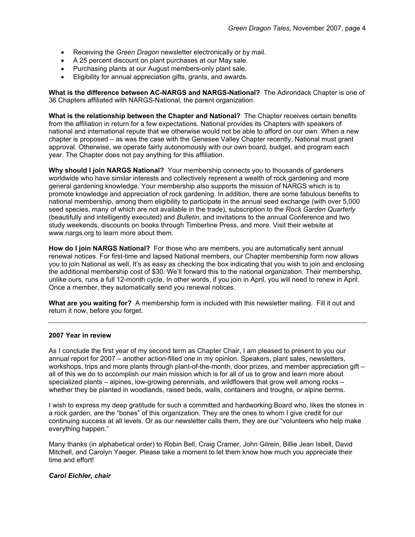- Receiving the *Green Dragon* newsletter electronically or by mail.
- A 25 percent discount on plant purchases at our May sale.
- Purchasing plants at our August members-only plant sale.
- Eligibility for annual appreciation gifts, grants, and awards.

**What is the difference between AC-NARGS and NARGS-National?** The Adirondack Chapter is one of 36 Chapters affiliated with NARGS-National, the parent organization.

**What is the relationship between the Chapter and National?** The Chapter receives certain benefits from the affiliation in return for a few expectations. National provides its Chapters with speakers of national and international repute that we otherwise would not be able to afford on our own. When a new chapter is proposed – as was the case with the Genesee Valley Chapter recently, National must grant approval. Otherwise, we operate fairly autonomously with our own board, budget, and program each year. The Chapter does not pay anything for this affiliation.

**Why should I join NARGS National?** Your membership connects you to thousands of gardeners worldwide who have similar interests and collectively represent a wealth of rock gardening and more general gardening knowledge. Your membership also supports the mission of NARGS which is to promote knowledge and appreciation of rock gardening. In addition, there are some fabulous benefits to national membership, among them eligibility to participate in the annual seed exchange (with over 5,000 seed species, many of which are not available in the trade), subscription to the *Rock Garden Quarterly* (beautifully and intelligently executed) and *Bulletin*, and invitations to the annual Conference and two study weekends, discounts on books through Timberline Press, and more. Visit their website at www.nargs.org to learn more about them.

**How do I join NARGS National?** For those who are members, you are automatically sent annual renewal notices. For first-time and lapsed National members, our Chapter membership form now allows you to join National as well. It's as easy as checking the box indicating that you wish to join and enclosing the additional membership cost of \$30. We'll forward this to the national organization. Their membership, unlike ours, runs a full 12-month cycle. In other words, if you join in April, you will need to renew in April. Once a member, they automatically send you renewal notices.

**What are you waiting for?** A membership form is included with this newsletter mailing. Fill it out and return it now, before you forget.

### **2007 Year in review**

As I conclude the first year of my second term as Chapter Chair, I am pleased to present to you our annual report for 2007 – another action-filled one in my opinion. Speakers, plant sales, newsletters, workshops, trips and more plants through plant-of-the-month, door prizes, and member appreciation gift – all of this we do to accomplish our main mission which is for all of us to grow and learn more about specialized plants – alpines, low-growing perennials, and wildflowers that grow well among rocks – whether they be planted in woodlands, raised beds, walls, containers and troughs, or alpine berms.

I wish to express my deep gratitude for such a committed and hardworking Board who, likes the stones in a rock garden, are the "bones" of this organization. They are the ones to whom I give credit for our continuing success at all levels. Or as our newsletter calls them, they are our "volunteers who help make everything happen."

Many thanks (in alphabetical order) to Robin Bell, Craig Cramer, John Gilrein, Billie Jean Isbell, David Mitchell, and Carolyn Yaeger. Please take a moment to let them know how much you appreciate their time and effort!

### *Carol Eichler, chair*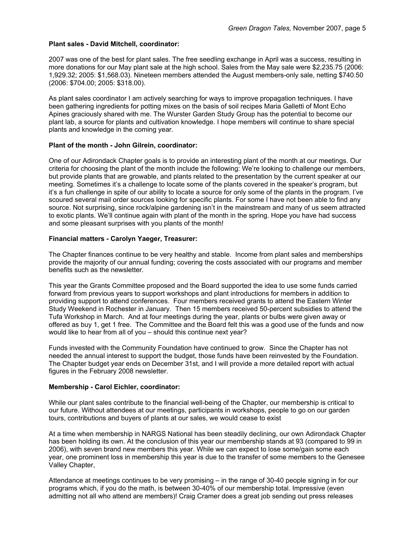### **Plant sales - David Mitchell, coordinator:**

2007 was one of the best for plant sales. The free seedling exchange in April was a success, resulting in more donations for our May plant sale at the high school. Sales from the May sale were \$2,235.75 (2006: 1,929.32; 2005: \$1,568.03). Nineteen members attended the August members-only sale, netting \$740.50 (2006: \$704.00; 2005: \$318.00).

As plant sales coordinator I am actively searching for ways to improve propagation techniques. I have been gathering ingredients for potting mixes on the basis of soil recipes Maria Galletti of Mont Echo Apines graciously shared with me. The Wurster Garden Study Group has the potential to become our plant lab, a source for plants and cultivation knowledge. I hope members will continue to share special plants and knowledge in the coming year.

## **Plant of the month - John Gilrein, coordinator:**

One of our Adirondack Chapter goals is to provide an interesting plant of the month at our meetings. Our criteria for choosing the plant of the month include the following: We're looking to challenge our members, but provide plants that are growable, and plants related to the presentation by the current speaker at our meeting. Sometimes it's a challenge to locate some of the plants covered in the speaker's program, but it's a fun challenge in spite of our ability to locate a source for only some of the plants in the program. I've scoured several mail order sources looking for specific plants. For some I have not been able to find any source. Not surprising, since rock/alpine gardening isn't in the mainstream and many of us seem attracted to exotic plants. We'll continue again with plant of the month in the spring. Hope you have had success and some pleasant surprises with you plants of the month!

## **Financial matters - Carolyn Yaeger, Treasurer:**

The Chapter finances continue to be very healthy and stable. Income from plant sales and memberships provide the majority of our annual funding; covering the costs associated with our programs and member benefits such as the newsletter.

This year the Grants Committee proposed and the Board supported the idea to use some funds carried forward from previous years to support workshops and plant introductions for members in addition to providing support to attend conferences. Four members received grants to attend the Eastern Winter Study Weekend in Rochester in January. Then 15 members received 50-percent subsidies to attend the Tufa Workshop in March. And at four meetings during the year, plants or bulbs were given away or offered as buy 1, get 1 free. The Committee and the Board felt this was a good use of the funds and now would like to hear from all of you – should this continue next year?

Funds invested with the Community Foundation have continued to grow. Since the Chapter has not needed the annual interest to support the budget, those funds have been reinvested by the Foundation. The Chapter budget year ends on December 31st, and I will provide a more detailed report with actual figures in the February 2008 newsletter.

### **Membership - Carol Eichler, coordinator:**

While our plant sales contribute to the financial well-being of the Chapter, our membership is critical to our future. Without attendees at our meetings, participants in workshops, people to go on our garden tours, contributions and buyers of plants at our sales, we would cease to exist

At a time when membership in NARGS National has been steadily declining, our own Adirondack Chapter has been holding its own. At the conclusion of this year our membership stands at 93 (compared to 99 in 2006), with seven brand new members this year. While we can expect to lose some/gain some each year, one prominent loss in membership this year is due to the transfer of some members to the Genesee Valley Chapter,

Attendance at meetings continues to be very promising – in the range of 30-40 people signing in for our programs which, if you do the math, is between 30-40% of our membership total. Impressive (even admitting not all who attend are members)! Craig Cramer does a great job sending out press releases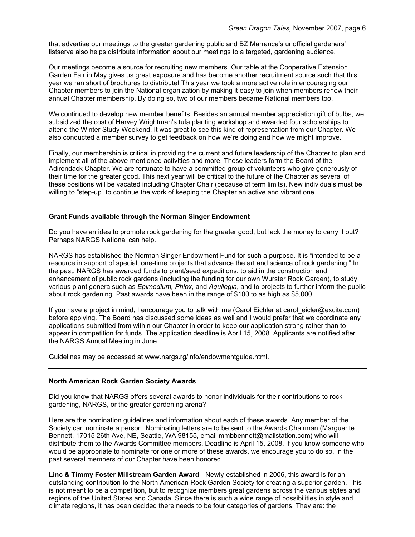that advertise our meetings to the greater gardening public and BZ Marranca's unofficial gardeners' listserve also helps distribute information about our meetings to a targeted, gardening audience.

Our meetings become a source for recruiting new members. Our table at the Cooperative Extension Garden Fair in May gives us great exposure and has become another recruitment source such that this year we ran short of brochures to distribute! This year we took a more active role in encouraging our Chapter members to join the National organization by making it easy to join when members renew their annual Chapter membership. By doing so, two of our members became National members too.

We continued to develop new member benefits. Besides an annual member appreciation gift of bulbs, we subsidized the cost of Harvey Wrightman's tufa planting workshop and awarded four scholarships to attend the Winter Study Weekend. It was great to see this kind of representation from our Chapter. We also conducted a member survey to get feedback on how we're doing and how we might improve.

Finally, our membership is critical in providing the current and future leadership of the Chapter to plan and implement all of the above-mentioned activities and more. These leaders form the Board of the Adirondack Chapter. We are fortunate to have a committed group of volunteers who give generously of their time for the greater good. This next year will be critical to the future of the Chapter as several of these positions will be vacated including Chapter Chair (because of term limits). New individuals must be willing to "step-up" to continue the work of keeping the Chapter an active and vibrant one.

### **Grant Funds available through the Norman Singer Endowment**

Do you have an idea to promote rock gardening for the greater good, but lack the money to carry it out? Perhaps NARGS National can help.

NARGS has established the Norman Singer Endowment Fund for such a purpose. It is "intended to be a resource in support of special, one-time projects that advance the art and science of rock gardening." In the past, NARGS has awarded funds to plant/seed expeditions, to aid in the construction and enhancement of public rock gardens (including the funding for our own Wurster Rock Garden), to study various plant genera such as *Epimedium, Phlox,* and *Aquilegia*, and to projects to further inform the public about rock gardening. Past awards have been in the range of \$100 to as high as \$5,000.

If you have a project in mind, I encourage you to talk with me (Carol Eichler at carol\_eicler@excite.com) before applying. The Board has discussed some ideas as well and I would prefer that we coordinate any applications submitted from within our Chapter in order to keep our application strong rather than to appear in competition for funds. The application deadline is April 15, 2008. Applicants are notified after the NARGS Annual Meeting in June.

Guidelines may be accessed at www.nargs.rg/info/endowmentguide.html.

#### **North American Rock Garden Society Awards**

Did you know that NARGS offers several awards to honor individuals for their contributions to rock gardening, NARGS, or the greater gardening arena?

Here are the nomination guidelines and information about each of these awards. Any member of the Society can nominate a person. Nominating letters are to be sent to the Awards Chairman (Marguerite Bennett, 17015 26th Ave, NE, Seattle, WA 98155, email mmbbennett@mailstation.com) who will distribute them to the Awards Committee members. Deadline is April 15, 2008. If you know someone who would be appropriate to nominate for one or more of these awards, we encourage you to do so. In the past several members of our Chapter have been honored.

**Linc & Timmy Foster Millstream Garden Award** - Newly-established in 2006, this award is for an outstanding contribution to the North American Rock Garden Society for creating a superior garden. This is not meant to be a competition, but to recognize members great gardens across the various styles and regions of the United States and Canada. Since there is such a wide range of possibilities in style and climate regions, it has been decided there needs to be four categories of gardens. They are: the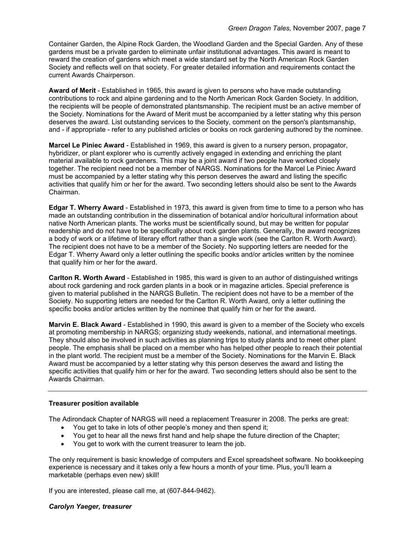Container Garden, the Alpine Rock Garden, the Woodland Garden and the Special Garden. Any of these gardens must be a private garden to eliminate unfair institutional advantages. This award is meant to reward the creation of gardens which meet a wide standard set by the North American Rock Garden Society and reflects well on that society. For greater detailed information and requirements contact the current Awards Chairperson.

**Award of Merit** - Established in 1965, this award is given to persons who have made outstanding contributions to rock and alpine gardening and to the North American Rock Garden Society. In addition, the recipients will be people of demonstrated plantsmanship. The recipient must be an active member of the Society. Nominations for the Award of Merit must be accompanied by a letter stating why this person deserves the award. List outstanding services to the Society, comment on the person's plantsmanship, and - if appropriate - refer to any published articles or books on rock gardening authored by the nominee.

**Marcel Le Piniec Award** - Established in 1969, this award is given to a nursery person, propagator, hybridizer, or plant explorer who is currently actively engaged in extending and enriching the plant material available to rock gardeners. This may be a joint award if two people have worked closely together. The recipient need not be a member of NARGS. Nominations for the Marcel Le Piniec Award must be accompanied by a letter stating why this person deserves the award and listing the specific activities that qualify him or her for the award. Two seconding letters should also be sent to the Awards Chairman.

**Edgar T. Wherry Award** - Established in 1973, this award is given from time to time to a person who has made an outstanding contribution in the dissemination of botanical and/or horicultural information about native North American plants. The works must be scientifically sound, but may be written for popular readership and do not have to be specifically about rock garden plants. Generally, the award recognizes a body of work or a lifetime of literary effort rather than a single work (see the Carlton R. Worth Award). The recipient does not have to be a member of the Society. No supporting letters are needed for the Edgar T. Wherry Award only a letter outlining the specific books and/or articles written by the nominee that qualify him or her for the award.

**Carlton R. Worth Award** - Established in 1985, this ward is given to an author of distinguished writings about rock gardening and rock garden plants in a book or in magazine articles. Special preference is given to material published in the NARGS Bulletin. The recipient does not have to be a member of the Society. No supporting letters are needed for the Carlton R. Worth Award, only a letter outlining the specific books and/or articles written by the nominee that qualify him or her for the award.

**Marvin E. Black Award** - Established in 1990, this award is given to a member of the Society who excels at promoting membership in NARGS; organizing study weekends, national, and international meetings. They should also be involved in such activities as planning trips to study plants and to meet other plant people. The emphasis shall be placed on a member who has helped other people to reach their potential in the plant world. The recipient must be a member of the Society. Nominations for the Marvin E. Black Award must be accompanied by a letter stating why this person deserves the award and listing the specific activities that qualify him or her for the award. Two seconding letters should also be sent to the Awards Chairman.

# **Treasurer position available**

The Adirondack Chapter of NARGS will need a replacement Treasurer in 2008. The perks are great:

- You get to take in lots of other people's money and then spend it;
- You get to hear all the news first hand and help shape the future direction of the Chapter;
- You get to work with the current treasurer to learn the job.

The only requirement is basic knowledge of computers and Excel spreadsheet software. No bookkeeping experience is necessary and it takes only a few hours a month of your time. Plus, you'll learn a marketable (perhaps even new) skill!

If you are interested, please call me, at (607-844-9462).

### *Carolyn Yaeger, treasurer*